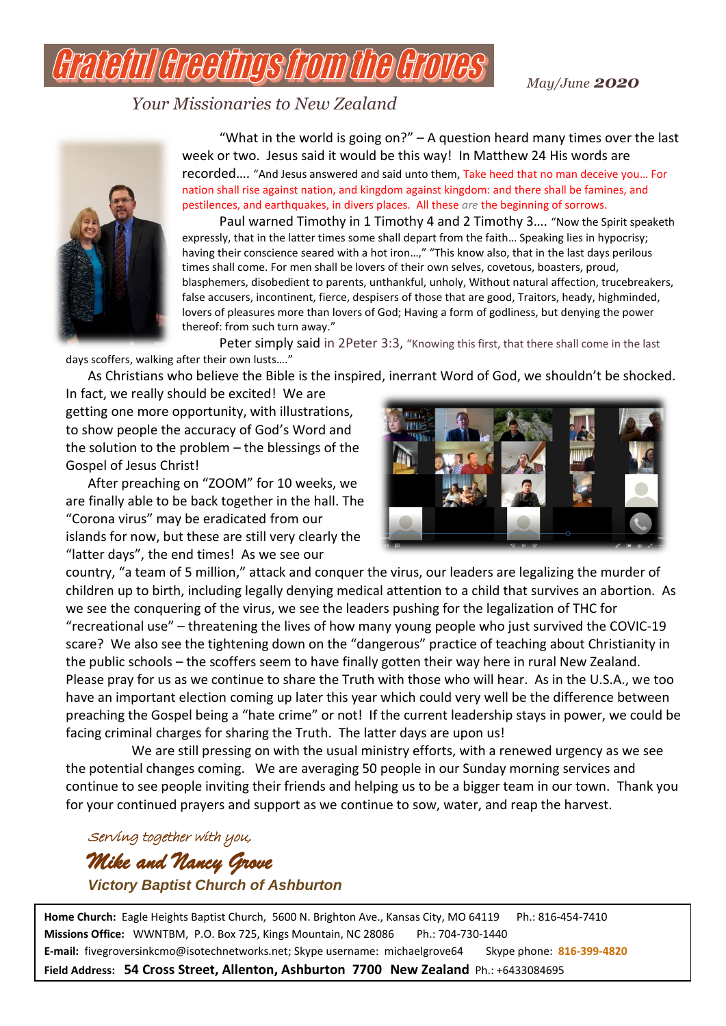*May/June 2020*

*Your Missionaries to New Zealand*

HITI I HTAHITIOIS ITA



"What in the world is going on?"  $-$  A question heard many times over the last week or two. Jesus said it would be this way! In Matthew 24 His words are recorded…. "And Jesus answered and said unto them, Take heed that no man deceive you… For nation shall rise against nation, and kingdom against kingdom: and there shall be famines, and pestilences, and earthquakes, in divers places. All these *are* the beginning of sorrows.

Paul warned Timothy in 1 Timothy 4 and 2 Timothy 3…. "Now the Spirit speaketh expressly, that in the latter times some shall depart from the faith… Speaking lies in hypocrisy; having their conscience seared with a hot iron...," "This know also, that in the last days perilous times shall come. For men shall be lovers of their own selves, covetous, boasters, proud, blasphemers, disobedient to parents, unthankful, unholy, Without natural affection, trucebreakers, false accusers, incontinent, fierce, despisers of those that are good, Traitors, heady, highminded, lovers of pleasures more than lovers of God; Having a form of godliness, but denying the power thereof: from such turn away."

Peter simply said in 2Peter 3:3, "Knowing this first, that there shall come in the last days scoffers, walking after their own lusts…."

As Christians who believe the Bible is the inspired, inerrant Word of God, we shouldn't be shocked.

In fact, we really should be excited! We are getting one more opportunity, with illustrations, to show people the accuracy of God's Word and the solution to the problem – the blessings of the Gospel of Jesus Christ!

After preaching on "ZOOM" for 10 weeks, we are finally able to be back together in the hall. The "Corona virus" may be eradicated from our islands for now, but these are still very clearly the "latter days", the end times! As we see our



country, "a team of 5 million," attack and conquer the virus, our leaders are legalizing the murder of children up to birth, including legally denying medical attention to a child that survives an abortion. As we see the conquering of the virus, we see the leaders pushing for the legalization of THC for "recreational use" – threatening the lives of how many young people who just survived the COVIC-19 scare? We also see the tightening down on the "dangerous" practice of teaching about Christianity in the public schools – the scoffers seem to have finally gotten their way here in rural New Zealand. Please pray for us as we continue to share the Truth with those who will hear. As in the U.S.A., we too have an important election coming up later this year which could very well be the difference between preaching the Gospel being a "hate crime" or not! If the current leadership stays in power, we could be facing criminal charges for sharing the Truth. The latter days are upon us!

We are still pressing on with the usual ministry efforts, with a renewed urgency as we see the potential changes coming. We are averaging 50 people in our Sunday morning services and continue to see people inviting their friends and helping us to be a bigger team in our town. Thank you for your continued prayers and support as we continue to sow, water, and reap the harvest.

Serving together with you, *Mike and Nancy Grove Victory Baptist Church of Ashburton*

Home Church: Eagle Heights Baptist Church, 5600 N. Brighton Ave., Kansas City, MO 64119 Ph.: 816-454-7410 **Missions Office:** WWNTBM, P.O. Box 725, Kings Mountain, NC 28086 Ph.: 704-730-1440 **E-mail:** fivegroversinkcmo@isotechnetworks.net; Skype username: michaelgrove64 Skype phone: **816-399-4820 Field Address: 54 Cross Street, Allenton, Ashburton 7700 New Zealand** Ph.: +6433084695